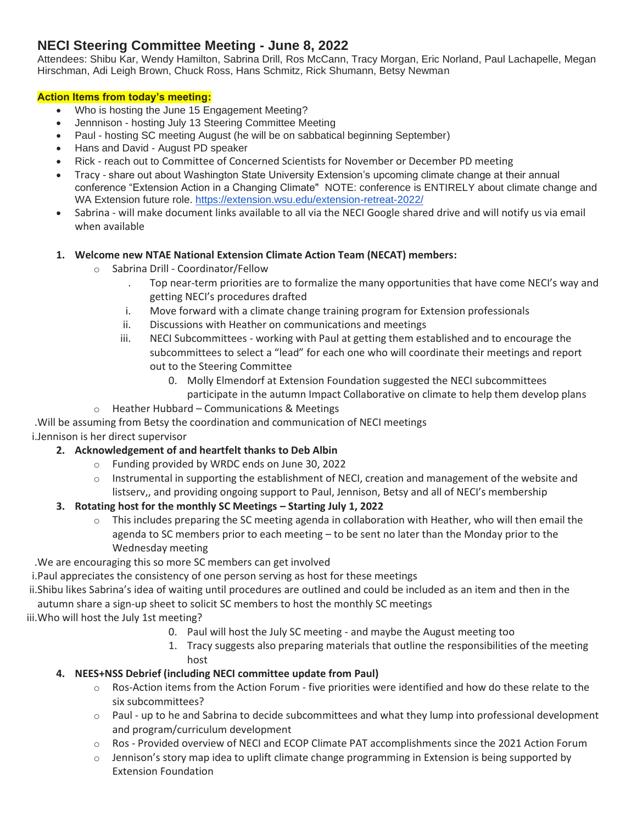# **NECI Steering Committee Meeting - June 8, 2022**

Attendees: Shibu Kar, Wendy Hamilton, Sabrina Drill, Ros McCann, Tracy Morgan, Eric Norland, Paul Lachapelle, Megan Hirschman, Adi Leigh Brown, Chuck Ross, Hans Schmitz, Rick Shumann, Betsy Newman

### **Action Items from today's meeting:**

- Who is hosting the June 15 Engagement Meeting?
- Jennnison hosting July 13 Steering Committee Meeting
- Paul hosting SC meeting August (he will be on sabbatical beginning September)
- Hans and David August PD speaker
- Rick reach out to Committee of Concerned Scientists for November or December PD meeting
- Tracy share out about Washington State University Extension's upcoming climate change at their annual conference "Extension Action in a Changing Climate" NOTE: conference is ENTIRELY about climate change and WA Extension future role. <https://extension.wsu.edu/extension-retreat-2022/>
- Sabrina will make document links available to all via the NECI Google shared drive and will notify us via email when available

#### **1. Welcome new NTAE National Extension Climate Action Team (NECAT) members:**

- o Sabrina Drill Coordinator/Fellow
	- . Top near-term priorities are to formalize the many opportunities that have come NECI's way and getting NECI's procedures drafted
	- i. Move forward with a climate change training program for Extension professionals
	- ii. Discussions with Heather on communications and meetings
	- iii. NECI Subcommittees working with Paul at getting them established and to encourage the subcommittees to select a "lead" for each one who will coordinate their meetings and report out to the Steering Committee
		- 0. Molly Elmendorf at Extension Foundation suggested the NECI subcommittees participate in the autumn Impact Collaborative on climate to help them develop plans
	- o Heather Hubbard Communications & Meetings

# .Will be assuming from Betsy the coordination and communication of NECI meetings

## i.Jennison is her direct supervisor

- **2. Acknowledgement of and heartfelt thanks to Deb Albin**
	- o Funding provided by WRDC ends on June 30, 2022
	- $\circ$  Instrumental in supporting the establishment of NECI, creation and management of the website and listserv,, and providing ongoing support to Paul, Jennison, Betsy and all of NECI's membership

#### **3. Rotating host for the monthly SC Meetings – Starting July 1, 2022**

 $\circ$  This includes preparing the SC meeting agenda in collaboration with Heather, who will then email the agenda to SC members prior to each meeting – to be sent no later than the Monday prior to the Wednesday meeting

.We are encouraging this so more SC members can get involved

i.Paul appreciates the consistency of one person serving as host for these meetings

ii.Shibu likes Sabrina's idea of waiting until procedures are outlined and could be included as an item and then in the autumn share a sign-up sheet to solicit SC members to host the monthly SC meetings

iii.Who will host the July 1st meeting?

- 0. Paul will host the July SC meeting and maybe the August meeting too
- 1. Tracy suggests also preparing materials that outline the responsibilities of the meeting host

#### **4. NEES+NSS Debrief (including NECI committee update from Paul)**

- $\circ$  Ros-Action items from the Action Forum five priorities were identified and how do these relate to the six subcommittees?
- $\circ$  Paul up to he and Sabrina to decide subcommittees and what they lump into professional development and program/curriculum development
- o Ros Provided overview of NECI and ECOP Climate PAT accomplishments since the 2021 Action Forum
- $\circ$  Jennison's story map idea to uplift climate change programming in Extension is being supported by Extension Foundation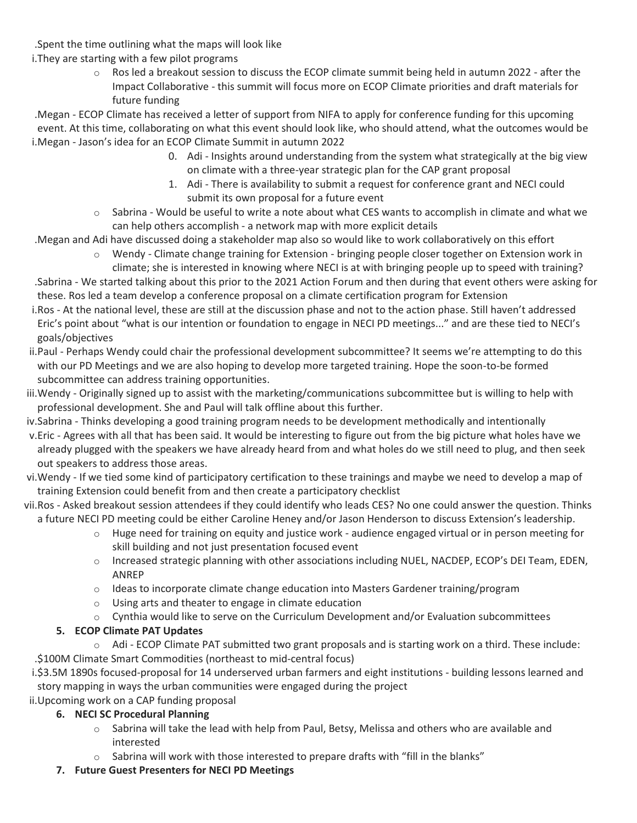.Spent the time outlining what the maps will look like

- i.They are starting with a few pilot programs
	- $\circ$  Ros led a breakout session to discuss the ECOP climate summit being held in autumn 2022 after the Impact Collaborative - this summit will focus more on ECOP Climate priorities and draft materials for future funding

.Megan - ECOP Climate has received a letter of support from NIFA to apply for conference funding for this upcoming event. At this time, collaborating on what this event should look like, who should attend, what the outcomes would be i.Megan - Jason's idea for an ECOP Climate Summit in autumn 2022

- 0. Adi Insights around understanding from the system what strategically at the big view on climate with a three-year strategic plan for the CAP grant proposal
- 1. Adi There is availability to submit a request for conference grant and NECI could submit its own proposal for a future event
- $\circ$  Sabrina Would be useful to write a note about what CES wants to accomplish in climate and what we can help others accomplish - a network map with more explicit details

.Megan and Adi have discussed doing a stakeholder map also so would like to work collaboratively on this effort

o Wendy - Climate change training for Extension - bringing people closer together on Extension work in climate; she is interested in knowing where NECI is at with bringing people up to speed with training?

.Sabrina - We started talking about this prior to the 2021 Action Forum and then during that event others were asking for these. Ros led a team develop a conference proposal on a climate certification program for Extension

- i.Ros At the national level, these are still at the discussion phase and not to the action phase. Still haven't addressed Eric's point about "what is our intention or foundation to engage in NECI PD meetings..." and are these tied to NECI's goals/objectives
- ii.Paul Perhaps Wendy could chair the professional development subcommittee? It seems we're attempting to do this with our PD Meetings and we are also hoping to develop more targeted training. Hope the soon-to-be formed subcommittee can address training opportunities.
- iii.Wendy Originally signed up to assist with the marketing/communications subcommittee but is willing to help with professional development. She and Paul will talk offline about this further.
- iv.Sabrina Thinks developing a good training program needs to be development methodically and intentionally
- v.Eric Agrees with all that has been said. It would be interesting to figure out from the big picture what holes have we already plugged with the speakers we have already heard from and what holes do we still need to plug, and then seek out speakers to address those areas.
- vi.Wendy If we tied some kind of participatory certification to these trainings and maybe we need to develop a map of training Extension could benefit from and then create a participatory checklist

vii.Ros - Asked breakout session attendees if they could identify who leads CES? No one could answer the question. Thinks a future NECI PD meeting could be either Caroline Heney and/or Jason Henderson to discuss Extension's leadership.

- $\circ$  Huge need for training on equity and justice work audience engaged virtual or in person meeting for skill building and not just presentation focused event
- $\circ$  Increased strategic planning with other associations including NUEL, NACDEP, ECOP's DEI Team, EDEN, ANREP
- $\circ$  Ideas to incorporate climate change education into Masters Gardener training/program
- o Using arts and theater to engage in climate education
- o Cynthia would like to serve on the Curriculum Development and/or Evaluation subcommittees

## **5. ECOP Climate PAT Updates**

o Adi - ECOP Climate PAT submitted two grant proposals and is starting work on a third. These include: .\$100M Climate Smart Commodities (northeast to mid-central focus)

i.\$3.5M 1890s focused-proposal for 14 underserved urban farmers and eight institutions - building lessons learned and story mapping in ways the urban communities were engaged during the project

ii.Upcoming work on a CAP funding proposal

## **6. NECI SC Procedural Planning**

- $\circ$  Sabrina will take the lead with help from Paul, Betsy, Melissa and others who are available and interested
- $\circ$  Sabrina will work with those interested to prepare drafts with "fill in the blanks"

## **7. Future Guest Presenters for NECI PD Meetings**